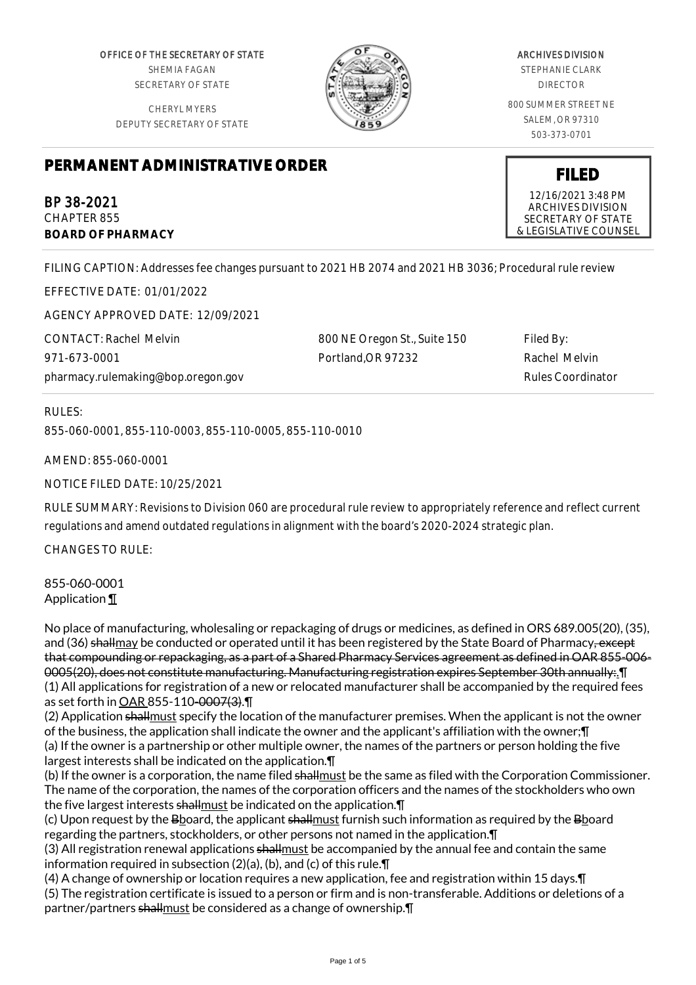OFFICE OF THE SECRETARY OF STATE SHEMIA FAGAN SECRETARY OF STATE

CHERYL MYERS DEPUTY SECRETARY OF STATE



# ARCHIVES DIVISION

STEPHANIE CLARK DIRECTOR

800 SUMMER STREET NE SALEM, OR 97310 503-373-0701

**FILED** 12/16/2021 3:48 PM ARCHIVES DIVISION SECRETARY OF STATE & LEGISLATIVE COUNSEL

# **PERMANENT ADMINISTRATIVE ORDER**

BP 38-2021 CHAPTER 855 **BOARD OF PHARMACY**

FILING CAPTION: Addresses fee changes pursuant to 2021 HB 2074 and 2021 HB 3036; Procedural rule review

EFFECTIVE DATE: 01/01/2022

AGENCY APPROVED DATE: 12/09/2021

CONTACT: Rachel Melvin 971-673-0001 pharmacy.rulemaking@bop.oregon.gov

800 NE Oregon St., Suite 150 Portland,OR 97232

Filed By: Rachel Melvin Rules Coordinator

RULES:

855-060-0001, 855-110-0003, 855-110-0005, 855-110-0010

AMEND: 855-060-0001

NOTICE FILED DATE: 10/25/2021

RULE SUMMARY: Revisions to Division 060 are procedural rule review to appropriately reference and reflect current regulations and amend outdated regulations in alignment with the board's 2020-2024 strategic plan.

CHANGES TO RULE:

855-060-0001 Application ¶

No place of manufacturing, wholesaling or repackaging of drugs or medicines, as defined in ORS 689.005(20), (35), and (36) shallmay be conducted or operated until it has been registered by the State Board of Pharmacy<del>, except</del> that compounding or repackaging, as a part of a Shared Pharmacy Services agreement as defined in OAR 855-006- 0005(20), does not constitute manufacturing. Manufacturing registration expires September 30th annually:.¶ (1) All applications for registration of a new or relocated manufacturer shall be accompanied by the required fees as set forth in OAR 855-110-0007(3).¶

(2) Application shallmust specify the location of the manufacturer premises. When the applicant is not the owner of the business, the application shall indicate the owner and the applicant's affiliation with the owner;¶ (a) If the owner is a partnership or other multiple owner, the names of the partners or person holding the five largest interests shall be indicated on the application.¶

(b) If the owner is a corporation, the name filed shallmust be the same as filed with the Corporation Commissioner. The name of the corporation, the names of the corporation officers and the names of the stockholders who own the five largest interests shallmust be indicated on the application. In

(c) Upon request by the Bboard, the applicant shallmust furnish such information as required by the Bboard regarding the partners, stockholders, or other persons not named in the application.¶

(3) All registration renewal applications shallmust be accompanied by the annual fee and contain the same information required in subsection (2)(a), (b), and (c) of this rule.¶

(4) A change of ownership or location requires a new application, fee and registration within 15 days.¶ (5) The registration certificate is issued to a person or firm and is non-transferable. Additions or deletions of a partner/partners shallmust be considered as a change of ownership. [1]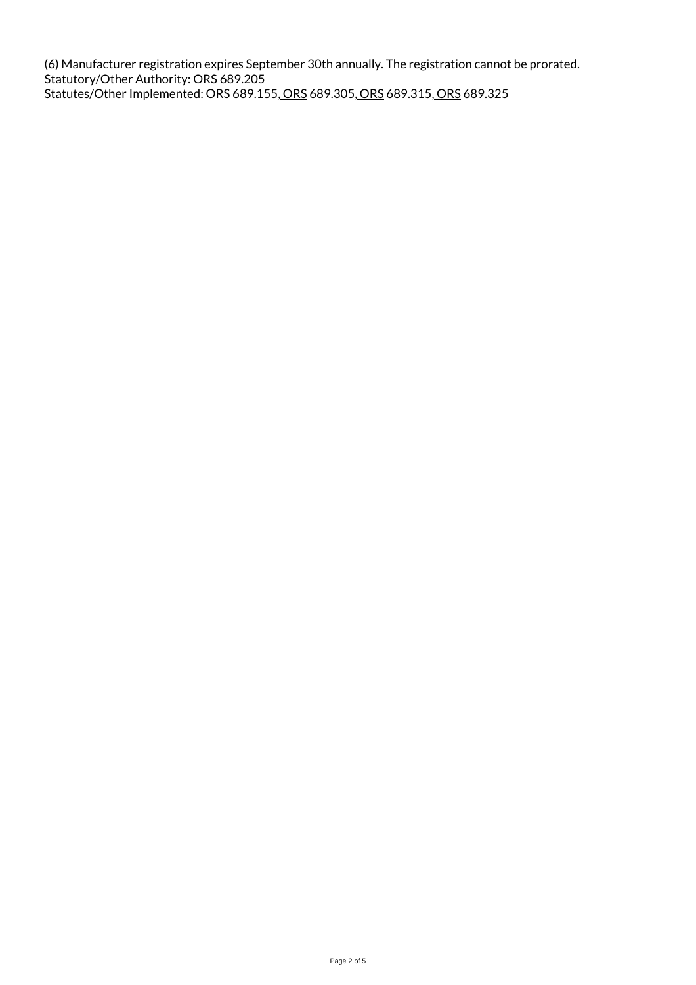(6) Manufacturer registration expires September 30th annually. The registration cannot be prorated. Statutory/Other Authority: ORS 689.205 Statutes/Other Implemented: ORS 689.155, ORS 689.305, ORS 689.315, ORS 689.325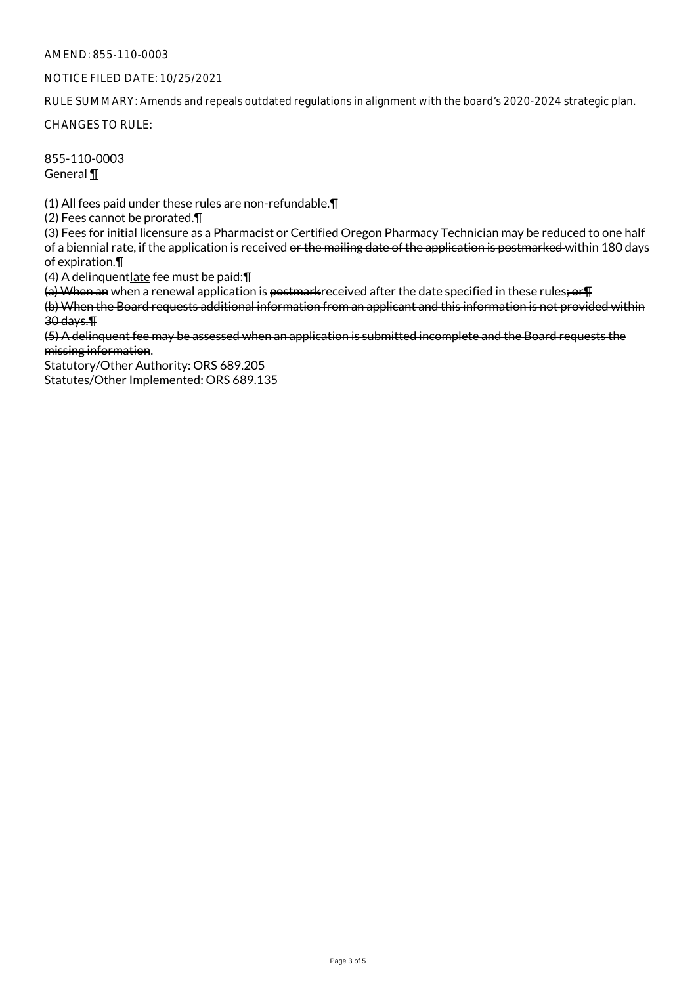## AMEND: 855-110-0003

## NOTICE FILED DATE: 10/25/2021

RULE SUMMARY: Amends and repeals outdated regulations in alignment with the board's 2020-2024 strategic plan.

CHANGES TO RULE:

855-110-0003 General ¶

(1) All fees paid under these rules are non-refundable.¶

(2) Fees cannot be prorated.¶

(3) Fees for initial licensure as a Pharmacist or Certified Oregon Pharmacy Technician may be reduced to one half of a biennial rate, if the application is received or the mailing date of the application is postmarked within 180 days of expiration.¶

(4) A delinquentlate fee must be paid:¶

(a) When an when a renewal application is postmarkreceived after the date specified in these rules; or  $\text{F}$ 

(b) When the Board requests additional information from an applicant and this information is not provided within 30 days.¶

(5) A delinquent fee may be assessed when an application is submitted incomplete and the Board requests the missing information.

Statutory/Other Authority: ORS 689.205 Statutes/Other Implemented: ORS 689.135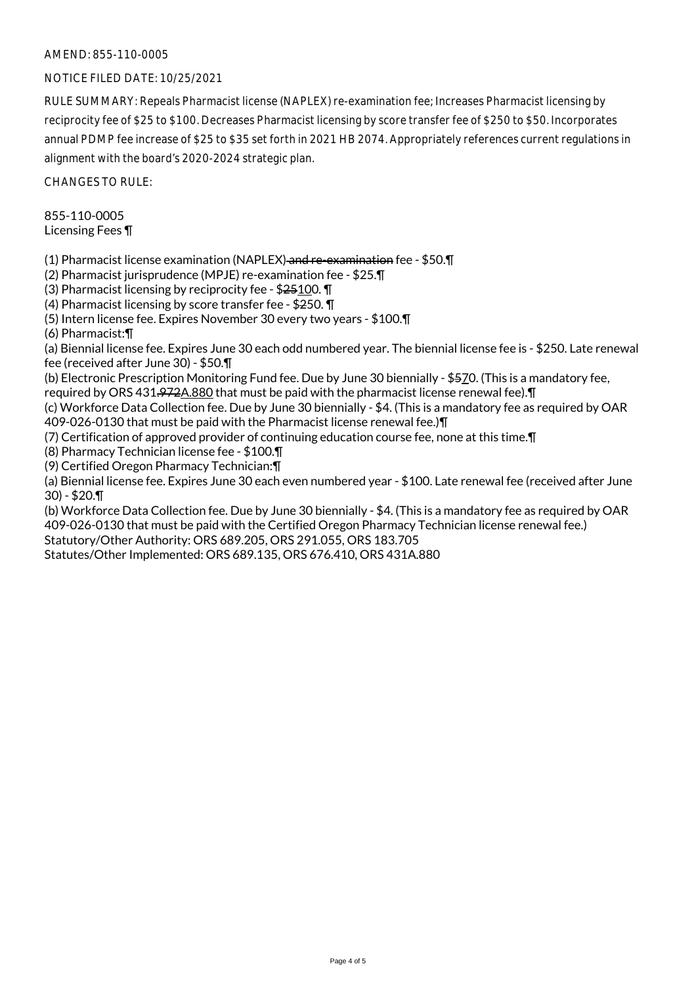# AMEND: 855-110-0005

# NOTICE FILED DATE: 10/25/2021

RULE SUMMARY: Repeals Pharmacist license (NAPLEX) re-examination fee; Increases Pharmacist licensing by reciprocity fee of \$25 to \$100. Decreases Pharmacist licensing by score transfer fee of \$250 to \$50. Incorporates annual PDMP fee increase of \$25 to \$35 set forth in 2021 HB 2074. Appropriately references current regulations in alignment with the board's 2020-2024 strategic plan.

CHANGES TO RULE:

855-110-0005 Licensing Fees ¶

(1) Pharmacist license examination (NAPLEX) and re-examination fee - \$50.¶

(2) Pharmacist jurisprudence (MPJE) re-examination fee - \$25.¶

(3) Pharmacist licensing by reciprocity fee - \$25100. ¶

(4) Pharmacist licensing by score transfer fee - \$250. ¶

(5) Intern license fee. Expires November 30 every two years - \$100.¶

(6) Pharmacist:¶

(a) Biennial license fee. Expires June 30 each odd numbered year. The biennial license fee is - \$250. Late renewal fee (received after June 30) - \$50.¶

(b) Electronic Prescription Monitoring Fund fee. Due by June 30 biennially - \$570. (This is a mandatory fee,

required by ORS 431.972A.880 that must be paid with the pharmacist license renewal fee).¶

(c) Workforce Data Collection fee. Due by June 30 biennially - \$4. (This is a mandatory fee as required by OAR 409-026-0130 that must be paid with the Pharmacist license renewal fee.)¶

(7) Certification of approved provider of continuing education course fee, none at this time.¶

(8) Pharmacy Technician license fee - \$100.¶

(9) Certified Oregon Pharmacy Technician:¶

(a) Biennial license fee. Expires June 30 each even numbered year - \$100. Late renewal fee (received after June 30) - \$20.¶

(b) Workforce Data Collection fee. Due by June 30 biennially - \$4. (This is a mandatory fee as required by OAR 409-026-0130 that must be paid with the Certified Oregon Pharmacy Technician license renewal fee.)

Statutory/Other Authority: ORS 689.205, ORS 291.055, ORS 183.705 Statutes/Other Implemented: ORS 689.135, ORS 676.410, ORS 431A.880